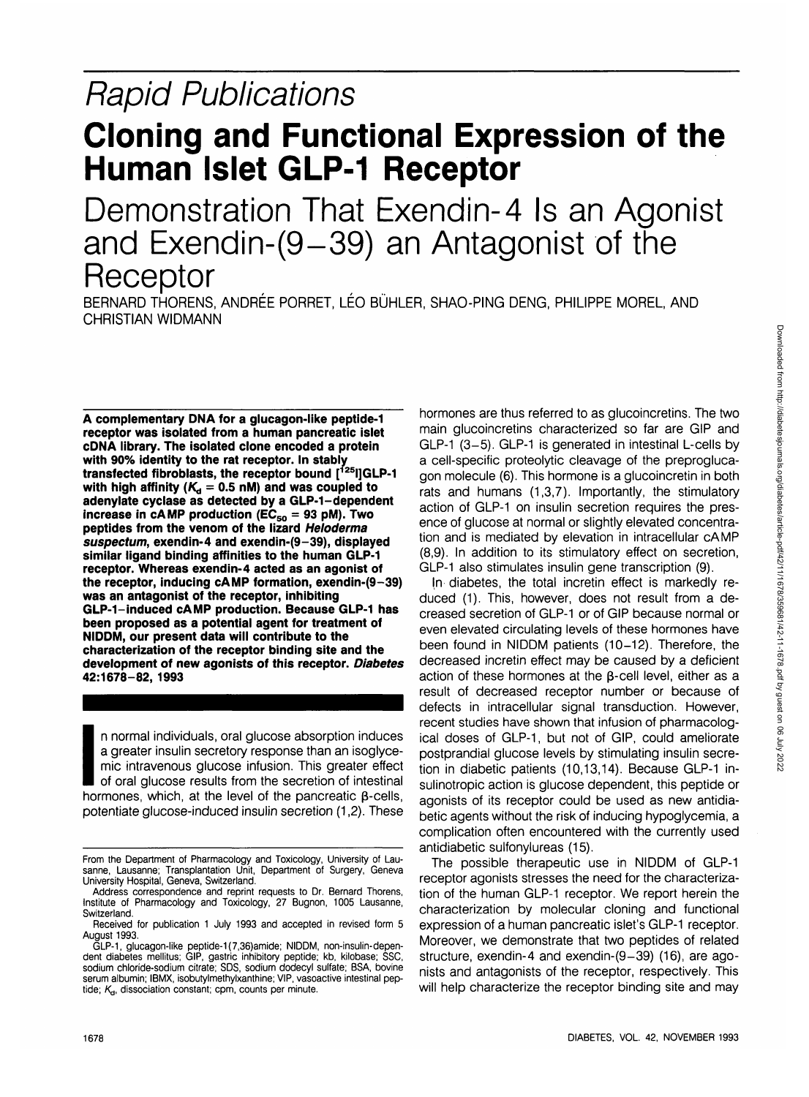# Rapid Publications

## **Cloning and Functional Expression of the Human Islet GLP-1 Receptor**

Demonstration That Exendin-4 Is an Agonist and Exendin-(9-39) an Antagonist of the **Receptor** 

BERNARD THORENS, ANDREE PORRET, LEO BUHLER, SHAO-PING DENG, PHILIPPE MOREL, AND CHRISTIAN WIDMANN

**A complementary DNA for a glucagon-like peptide-1 receptor was isolated from a human pancreatic islet cDNA library. The isolated clone encoded a protein with 90% identity to the rat receptor. In stably transfected fibroblasts, the receptor bound [125I]GLP-1** with high affinity  $(K_d = 0.5 \text{ nM})$  and was coupled to **adenylate cyclase as detected by a GLP-1-dependent increase in cAMP production (** $EC_{50} = 93$  **pM). Two peptides from the venom of the lizard Heloderma suspectum, exendin-4 and exendin-(9-39), displayed similar ligand binding affinities to the human GLP-1 receptor. Whereas exendin-4 acted as an agonist of the receptor, inducing cAMP formation, exendin-(9-39) was an antagonist of the receptor, inhibiting GLP-1-induced cAMP production. Because GLP-1 has been proposed as a potential agent for treatment of NIDDM, our present data will contribute to the characterization of the receptor binding site and the development of new agonists of this receptor. Diabetes 42:1678-82, 1993**

I n normal individuals, oral glucose absorption induces a greater insulin secretory response than an isoglycemic intravenous glucose infusion. This greater effect of oral glucose results from the secretion of intestinal hormones, which, at the level of the pancreatic  $\beta$ -cells, potentiate glucose-induced insulin secretion (1,2). These hormones are thus referred to as glucoincretins. The two main glucoincretins characterized so far are GIP and GLP-1 (3-5). GLP-1 is generated in intestinal L-cells by a cell-specific proteolytic cleavage of the preproglucagon molecule (6). This hormone is a glucoincretin in both rats and humans (1,3,7). Importantly, the stimulatory action of GLP-1 on insulin secretion requires the presence of glucose at normal or slightly elevated concentration and is mediated by elevation in intracellular cAMP (8,9). In addition to its stimulatory effect on secretion, GLP-1 also stimulates insulin gene transcription (9).

In diabetes, the total incretin effect is markedly reduced (1). This, however, does not result from a decreased secretion of GLP-1 or of GIP because normal or even elevated circulating levels of these hormones have been found in NIDDM patients (10-12). Therefore, the decreased incretin effect may be caused by a deficient action of these hormones at the **p-cell** level, either as a result of decreased receptor number or because of defects in intracellular signal transduction. However, recent studies have shown that infusion of pharmacological doses of GLP-1, but not of GIP, could ameliorate postprandial glucose levels by stimulating insulin secretion in diabetic patients (10,13,14). Because GLP-1 insulinotropic action is glucose dependent, this peptide or agonists of its receptor could be used as new antidiabetic agents without the risk of inducing hypoglycemia, a complication often encountered with the currently used antidiabetic sulfonylureas (15).

The possible therapeutic use in NIDDM of GLP-1 receptor agonists stresses the need for the characterization of the human GLP-1 receptor. We report herein the characterization by molecular cloning and functional expression of a human pancreatic islet's GLP-1 receptor. Moreover, we demonstrate that two peptides of related structure, exendin-4 and exendin-(9-39) (16), are agonists and antagonists of the receptor, respectively. This will help characterize the receptor binding site and may

From the Department of Pharmacology and Toxicology, University of Lausanne, Lausanne; Transplantation Unit, Department of Surgery, Geneva University Hospital, Geneva, Switzerland.

Address correspondence and reprint requests to Dr. Bernard Thorens, Institute of Pharmacology and Toxicology, 27 Bugnon, 1005 Lausanne, **Switzerland** 

Received for publication 1 July 1993 and accepted in revised form 5 August 1993.

GLP-1, glucagon-like peptide-1 (7,36)amide; NIDDM, non-insulin-dependent diabetes mellitus; GIP, gastric inhibitory peptide; kb, kilobase; SSC, sodium chloride-sodium citrate; SDS, sodium dodecyl sulfate; BSA, bovine serum albumin; IBMX, isobutylmethylxanthine; VIP, vasoactive intestinal peptide;  $K_{d}$ , dissociation constant; cpm, counts per minute.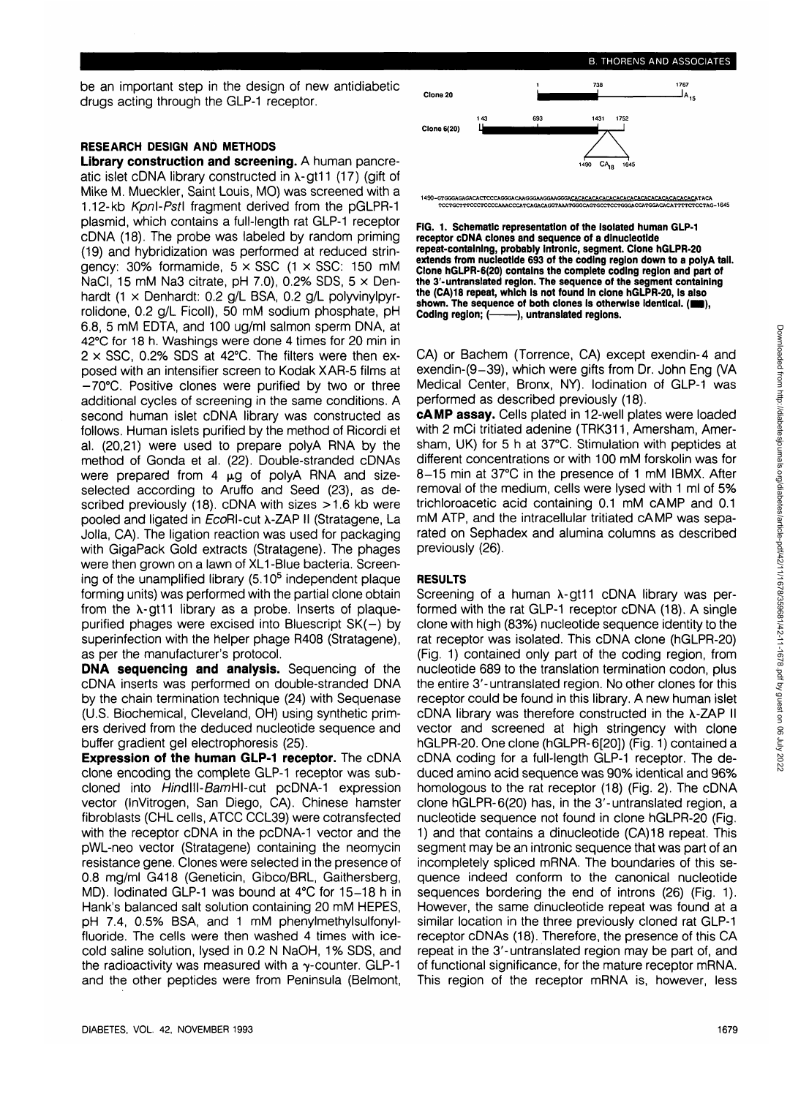B. THORENS AND ASSOCIATES

be an important step in the design of new antidiabetic drugs acting through the GLP-1 receptor.

## **RESEARCH DESIGN AND METHODS**

**Library construction and screening.** A human pancreatic islet cDNA library constructed in  $\lambda$ -gt11 (17) (gift of Mike M. Mueckler, Saint Louis, MO) was screened with a 1.12-kb KpnI-PstI fragment derived from the pGLPR-1 plasmid, which contains a full-length rat GLP-1 receptor cDNA (18). The probe was labeled by random priming (19) and hybridization was performed at reduced stringency:  $30\%$  formamide,  $5 \times SSC$  (1  $\times SSC$ : 150 mM NaCl, 15 mM Na3 citrate, pH 7.0), 0.2% SDS,  $5 \times$  Denhardt (1 x Denhardt: 0.2 g/L BSA, 0.2 g/L polyvinylpyrrolidone, 0.2 g/L Ficoll), 50 mM sodium phosphate, pH 6.8, 5 mM EDTA, and 100 ug/ml salmon sperm DNA, at 42°C for 18 h. Washings were done 4 times for 20 min in  $2 \times$  SSC, 0.2% SDS at 42°C. The filters were then exposed with an intensifier screen to Kodak XAR-5 films at -70°C. Positive clones were purified by two or three additional cycles of screening in the same conditions. A second human islet cDNA library was constructed as follows. Human islets purified by the method of Ricordi et al. (20,21) were used to prepare polyA RNA by the method of Gonda et al. (22). Double-stranded cDNAs were prepared from  $4 \mu q$  of polyA RNA and sizeselected according to Aruffo and Seed (23), as described previously (18). cDNA with sizes >1.6 kb were pooled and ligated in EcoRI-cut X-ZAP II (Stratagene, La Jolla, CA). The ligation reaction was used for packaging with GigaPack Gold extracts (Stratagene). The phages were then grown on a lawn of XL1-Blue bacteria. Screenwere then grown on a lawn or xLT-blue bacterial Screen-<br>ing of the unamplified library (5.10<sup>5</sup> independent plaque forming units) was performed with the partial clone obtain from the  $\lambda$ -gt11 library as a probe. Inserts of plaquepurified phages were excised into Bluescript  $SK(-)$  by superinfection with the helper phage R408 (Stratagene), as per the manufacturer's protocol.

**DNA sequencing and analysis.** Sequencing of the cDNA inserts was performed on double-stranded DNA cDNA inserts was performed on double-stranded DNA<br>by the chain termination technique (24) with Sequenase (U.S. Biochemical, Cleveland, OH) using synthetic primers derived from the deduced nucleotide sequence and buffer gradient gel electrophoresis (25). **Expression of the human GLP-1 receptor.** The cDNA

 $\epsilon$ xpression of the numan GLP-1 receptor. The CDNA clone encoding the complete GLP-1 receptor was subcloned into HindIII-BamHI-cut pcDNA-1 expression vector (InVitrogen, San Diego, CA). Chinese hamster fibroblasts (CHL cells, ATCC CCL39) were cotransfected with the receptor cDNA in the pcDNA-1 vector and the pWL-neo vector (Stratagene) containing the neomycin resistance gene. Clones were selected in the presence of 0.8 mg/ml G418 (Geneticin, Gibco/BRL, Gaithersberg, MD). Iodinated GLP-1 was bound at  $4^{\circ}$ C for 15-18 h in Hank's balanced salt solution containing 20 mM HEPES, pH 7.4, 0.5% BSA, and 1 mM phenylmethylsulfonylfluoride. The cells were then washed 4 times with icecold saline solution, lysed in 0.2 N NaOH, 1% SDS, and the radioactivity was measured with a  $\gamma$ -counter. GLP-1 and the other peptides were from Peninsula (Belmont,



**FIG. 1. Schematic representation of the Isolated human GLP-1 receptor cDNA clones and sequence of a dlnucleotlde repeat-containing, probably intronlc, segment. Clone hGLPR-20 extends from nucleotide 693 of the coding region down to a polyA tail. Clone hGLPR-6(20) contains the complete coding region and part of the 3'-untranslated region. The sequence of the segment containing the (CA)18 repeat, which is not found In clone hGLPR-20, is also** shown. The sequence of both clones is otherwise identical. (**E** Coding region; (-----), untranslated regions. **Coding region; ( ), untranslated regions.**

CA) or Bachem (Torrence, CA) except exendin-4 and exendin-(9-39), which were gifts from Dr. John Eng (VA Medical Center, Bronx, NY), lodination of GLP-1 was performed as described previously (18).

**cAMP assay.** Cells plated in 12-well plates were loaded with 2 mCi tritiated adenine (TRK311, Amersham, Amersham, UK) for 5 h at 37°C. Stimulation with peptides at different concentrations or with 100 mM forskolin was for 8-15 min at 37°C in the presence of 1 mM IBMX. After removal of the medium, cells were lysed with 1 ml of 5% trichloroacetic acid containing 0.1 mM cAMP and 0.1 mM ATP, and the intracellular tritiated cAMP was separated on Sephadex and alumina columns as described previously (26).

## **RESULTS**

Screening of a human  $\lambda$ -gt11 cDNA library was performed with the rat GLP-1 receptor cDNA (18). A single clone with high (83%) nucleotide sequence identity to the rat receptor was isolated. This cDNA clone (hGLPR-20) (Fig. 1) contained only part of the coding region, from nucleotide 689 to the translation termination codon, plus the entire 3'-untranslated region. No other clones for this receptor could be found in this library. A new human islet cDNA library was therefore constructed in the X-ZAP II vector and screened at high stringency with clone hGLPR-20. One clone (hGLPR-6[20]) (Fig. 1) contained a cDNA coding for a full-length GLP-1 receptor. The deduced amino acid sequence was 90% identical and 96% homologous to the rat receptor (18) (Fig. 2). The cDNA clone hGLPR-6(20) has, in the 3'-untranslated region, a nucleotide sequence not found in clone hGLPR-20 (Fig. 1) and that contains a dinucleotide (CA)18 repeat. This segment may be an intronic sequence that was part of an incompletely spliced mRNA. The boundaries of this sequence indeed conform to the canonical nucleotide sequences bordering the end of introns (26) (Fig. 1). However, the same dinucleotide repeat was found at a similar location in the three previously cloned rat GLP-1 receptor cDNAs (18). Therefore, the presence of this CA repeat in the 3'-untranslated region may be part of, and of functional significance, for the mature receptor mRNA. This region of the receptor mRNA is, however, less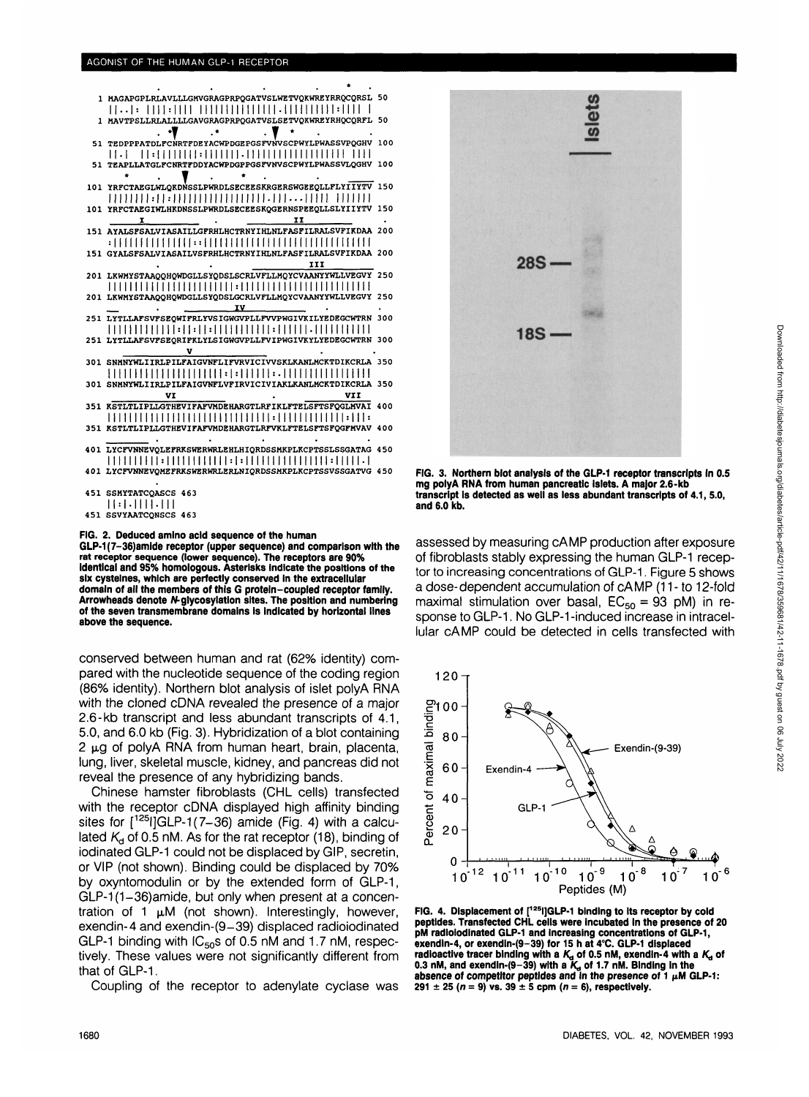#### AGONIST OF THE HUMAN GLP-1 RECEPTOR

| 1 MAGAPGPLRLAVLLLGMVGRAGPRPQGATVSLWETVQKWREYRRQCQRSL 50                                                      |  |
|--------------------------------------------------------------------------------------------------------------|--|
|                                                                                                              |  |
| 1 MAVTPSLLRLALLLLGAVGRAGPRPQGATVSLSETVQKWREYRHQCQRFL 50                                                      |  |
|                                                                                                              |  |
| 51 TEDPPPATDLFCNRTFDEYACWPDGEPGSFVNVSCPWYLPWASSVPQGHV 100                                                    |  |
| 11. L                                                                                                        |  |
| 51 TEAPLLATGLFCNRTFDDYACWPDGPPGSFVNVSCPWYLPWASSVLQGHV 100                                                    |  |
|                                                                                                              |  |
| 101 YRFCTAEGLWLQKDNSSLPWRDLSECEESKRGERSWGEEQLLFLYIIYTV 150<br>11111111:11:11111111111111111.11111111 1111111 |  |
| 101 YRFCTAEGIWLHKDNSSLPWRDLSECEESKQGERNSPEEQLLSLYIIYTV 150                                                   |  |
| IJ<br>1                                                                                                      |  |
| 151 AYALSFSALVIASAILLGFRHLHCTRNYIHLNLFASFILRALSVFIKDAA 200                                                   |  |
|                                                                                                              |  |
| 151 GYALSFSALVIASAILVSFRHLHCTRNYIHLNLFASFILRALSVFIKDAA 200                                                   |  |
| III                                                                                                          |  |
| 201 LKWMYSTAAQQHQWDGLLSYQDSLSCRLVFLLMQYCVAANYYWLLVEGVY 250                                                   |  |
|                                                                                                              |  |
| 201 LKWMYSTAAQQHQWDGLLSYQDSLGCRLVFLLMQYCVAANYYWLLVEGVY 250                                                   |  |
| $\overline{IV}$                                                                                              |  |
| 251 LYTLLAFSVFSEQWIFRLYVSIGWGVPLLFVVPWGIVKILYEDEGCWTRN 300                                                   |  |
|                                                                                                              |  |
| 251 LYTLLAFSVFSEORIFKLYLSIGWGVPLLFVIPWGIVKYLYEDEGCWTRN 300                                                   |  |
| v<br>301 SNMNYWLIIRLPILFAIGVNFLIFVRVICIVVSKLKANLMCKTDIKCRLA 350                                              |  |
|                                                                                                              |  |
| 301 SNMNYWLIIRLPILFAIGVNFLVFIRVICIVIAKLKANLMCKTDIKCRLA 350                                                   |  |
| VII<br>VI                                                                                                    |  |
| 351 KSTLTLIPLLGTHEVIFAFVMDEHARGTLRFIKLFTELSFTSFQGLMVAI 400                                                   |  |
|                                                                                                              |  |
| 351 RSTLTLIPLLGTHEVIFAFVMDEHARGTLRFVKLFTELSFTSFQGFMVAV 400                                                   |  |
|                                                                                                              |  |
| 401 LYCFVNNEVQLEFRKSWERWRLEHLHIQRDSSMKPLKCPTSSLSSGATAG 450                                                   |  |
|                                                                                                              |  |
| 401 LYCFVNNEVOMEFRKSWERWRLERLNIQRDSSMKPLKCPTSSVSSGATVG 450                                                   |  |
|                                                                                                              |  |
| 451 SSMYTATCOASCS 463                                                                                        |  |
| 11:1.1111.111<br>451 SSVYAATCONSCS 463                                                                       |  |
|                                                                                                              |  |



GLP-1(7-36)amide receptor (upper sequence) and comparison with the rat receptor sequence (lower sequence). The receptors are 90%<br>identical and 95% homologous. Asterisks indicate the positions of the six cysteines, which are perfectly conserved in the extracellular domain of all the members of this G protein-coupled receptor family. Arrowheads denote N-glycosylation sites. The position and numbering of the seven transmembrane domains is indicated by horizontal lines above the sequence.

conserved between human and rat (62% identity) compared with the nucleotide sequence of the coding region (86% identity). Northern blot analysis of islet polyA RNA with the cloned cDNA revealed the presence of a major 2.6-kb transcript and less abundant transcripts of 4.1, 5.0, and 6.0 kb (Fig. 3). Hybridization of a blot containing 2 µg of polyA RNA from human heart, brain, placenta, lung, liver, skeletal muscle, kidney, and pancreas did not reveal the presence of any hybridizing bands.

Chinese hamster fibroblasts (CHL cells) transfected with the receptor cDNA displayed high affinity binding sites for  $[1251]$ GLP-1(7-36) amide (Fig. 4) with a calculated  $K<sub>d</sub>$  of 0.5 nM. As for the rat receptor (18), binding of iodinated GLP-1 could not be displaced by GIP, secretin, or VIP (not shown). Binding could be displaced by 70% by oxyntomodulin or by the extended form of GLP-1, GLP-1(1-36)amide, but only when present at a concentration of 1 µM (not shown). Interestingly, however, exendin-4 and exendin-(9-39) displaced radioiodinated GLP-1 binding with IC<sub>50</sub>s of 0.5 nM and 1.7 nM, respectively. These values were not significantly different from that of GLP-1.

Coupling of the receptor to adenylate cyclase was



FIG. 3. Northern blot analysis of the GLP-1 receptor transcripts in 0.5 mg polyA RNA from human pancreatic Islets. A major 2.6-kb transcript is detected as well as less abundant transcripts of 4.1, 5.0. and 6.0 kb.

assessed by measuring cAMP production after exposure of fibroblasts stably expressing the human GLP-1 receptor to increasing concentrations of GLP-1. Figure 5 shows a dose-dependent accumulation of cAMP (11- to 12-fold maximal stimulation over basal,  $EC_{50} = 93$  pM) in response to GLP-1. No GLP-1-induced increase in intracellular cAMP could be detected in cells transfected with



FIG. 4. Displacement of [1251]GLP-1 binding to its receptor by cold peptides. Transfected CHL cells were incubated in the presence of 20 pM radioiodinated GLP-1 and increasing concentrations of GLP-1, exendin-4, or exendin-(9-39) for 15 h at 4°C. GLP-1 displaced radioactive tracer binding with a  $K_q$  of 0.5 nM, exendin-4 with a  $K_q$  of 0.3 nM, and exendin-(9-39) with a  $K_q$  of 1.7 nM. Binding in the absence of competitor peptides and in the presence of  $1 \mu M$  GLP-1: 291 ± 25 ( $n = 9$ ) vs. 39 ± 5 cpm ( $n = 6$ ), respectively.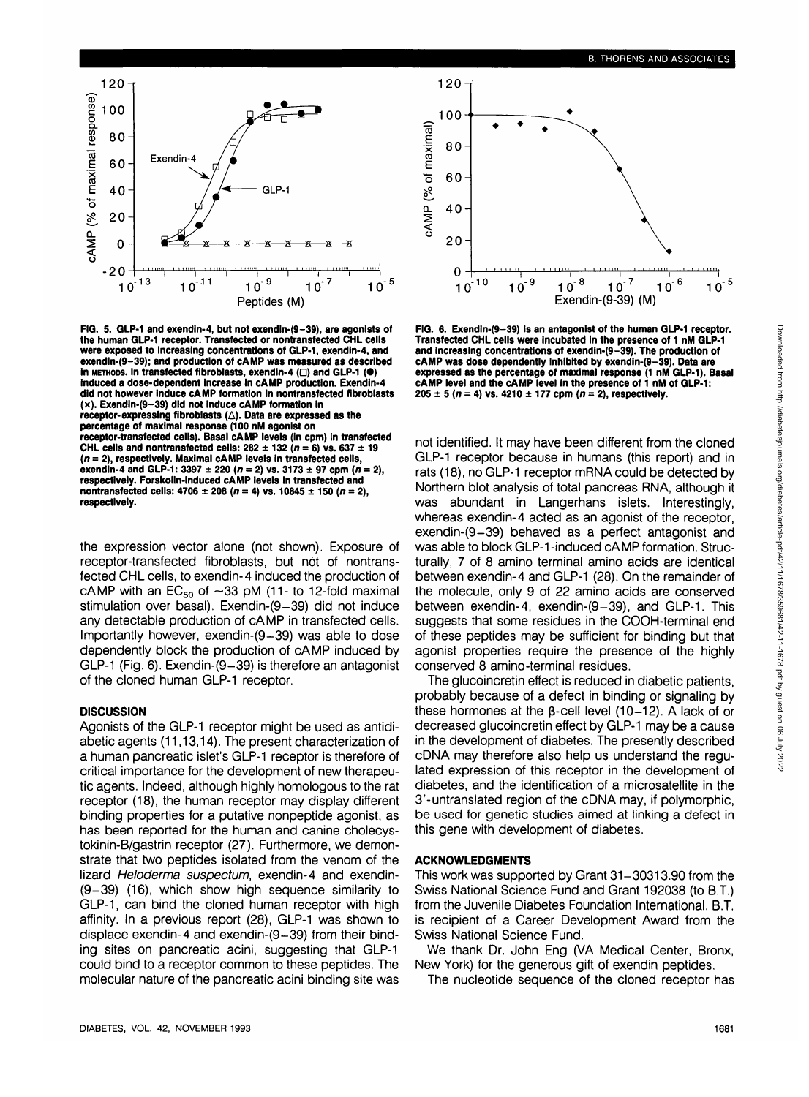

**FIG. 5. GLP-1 and exendln-4, but not exendln-(9-39), are agonists of the human GLP-1 receptor. Transfected or nontransfected CHL cells were exposed to Increasing concentrations of GLP-1, exendln-4, and exendln-(9-39); and production of cAMP was measured as described in METHODS. In transfected fibroblasts, exendin-4 (** $\Box$ **) and GLP-1 (** $\bullet$ **) induced a dose-dependent Increase In cAMP production. Exendin-4 did not however induce cAMP formation In nontransfected flbroblasts (x). Exendln-(9-39) did not induce cAMP formation in** receptor-expressing fibroblasts ( $\triangle$ ). Data are expressed as the **percentage of maximal response (100 nM agonist on receptor-transfected cells). Basal cAMP levels (In cpm) In transfected CHL cells and nontransfected cells:**  $282 \pm 132$  $(n = 6)$  **vs.**  $637 \pm 19$ **(n = 2), respectively. Maximal cAMP levels in transfected cells, exendin-4 and GLP-1: 3397 ± 220 (n = 2) vs. 3173 ± 97 cpm (n = 2), respectively. Forskolln-induced cAMP levels in transfected and nontransfected cells: 4706 ± 208 (n = 4) vs. 10845 ± 150 (n = 2), respectively.**

the expression vector alone (not shown). Exposure of receptor-transfected fibroblasts, but not of nontransfected CHL cells, to exendin-4 induced the production of cAMP with an  $EC_{50}$  of  $\sim$ 33 pM (11- to 12-fold maximal stimulation over basal). Exendin-(9-39) did not induce any detectable production of cAMP in transfected cells. Importantly however, exendin-(9-39) was able to dose dependently block the production of cAMP induced by GLP-1 (Fig. 6). Exendin-(9-39) is therefore an antagonist of the cloned human GLP-1 receptor.

## **DISCUSSION**

Agonists of the GLP-1 receptor might be used as antidiabetic agents (11,13,14). The present characterization of a human pancreatic islet's GLP-1 receptor is therefore of critical importance for the development of new therapeutic agents. Indeed, although highly homologous to the rat receptor (18), the human receptor may display different binding properties for a putative nonpeptide agonist, as has been reported for the human and canine cholecystokinin-B/gastrin receptor (27). Furthermore, we demonstrate that two peptides isolated from the venom of the lizard Heloderma suspectum, exendin-4 and exendin-(9-39) (16), which show high sequence similarity to GLP-1, can bind the cloned human receptor with high affinity. In a previous report (28), GLP-1 was shown to displace exendin-4 and exendin-(9-39) from their binding sites on pancreatic acini, suggesting that GLP-1 could bind to a receptor common to these peptides. The molecular nature of the pancreatic acini binding site was



**FIG. 6. Exendln-(9-39) is an antagonist of the human GLP-1 receptor. Transfected CHL cells were incubated in the presence of 1 nM GLP-1 and increasing concentrations of exendin-(9-39). The production of cAMP was dose dependently Inhibited by exendin-(9-39). Data are expressed as the percentage of maximal response (1 nM GLP-1). Basal cAMP level and the cAMP level in the presence of 1 nM of GLP-1:**  $205 \pm 5$  (n = 4) vs. 4210  $\pm$  177 cpm (n = 2), respectively.

not identified. It may have been different from the cloned GLP-1 receptor because in humans (this report) and in rats (18), no GLP-1 receptor mRNA could be detected by Northern blot analysis of total pancreas RNA, although it was abundant in Langerhans islets. Interestingly, whereas exendin-4 acted as an agonist of the receptor, exendin-(9-39) behaved as a perfect antagonist and was able to block GLP-1 -induced cAMP formation. Structurally, 7 of 8 amino terminal amino acids are identical between exendin-4 and GLP-1 (28). On the remainder of the molecule, only 9 of 22 amino acids are conserved between exendin-4, exendin-(9-39), and GLP-1. This suggests that some residues in the COOH-terminal end of these peptides may be sufficient for binding but that agonist properties require the presence of the highly conserved 8 amino-terminal residues.

The glucoincretin effect is reduced in diabetic patients, probably because of a defect in binding or signaling by these hormones at the  $\beta$ -cell level (10-12). A lack of or decreased glucoincretin effect by GLP-1 may be a cause in the development of diabetes. The presently described cDNA may therefore also help us understand the regulated expression of this receptor in the development of diabetes, and the identification of a microsatellite in the 3'-untranslated region of the cDNA may, if polymorphic, be used for genetic studies aimed at linking a defect in this gene with development of diabetes.

## **ACKNOWLEDGMENTS**

This work was supported by Grant 31-30313.90 from the Swiss National Science Fund and Grant 192038 (to B.T.) from the Juvenile Diabetes Foundation International. B.T. is recipient of a Career Development Award from the Swiss National Science Fund.

We thank Dr. John Eng (VA Medical Center, Bronx, New York) for the generous gift of exendin peptides.

The nucleotide sequence of the cloned receptor has